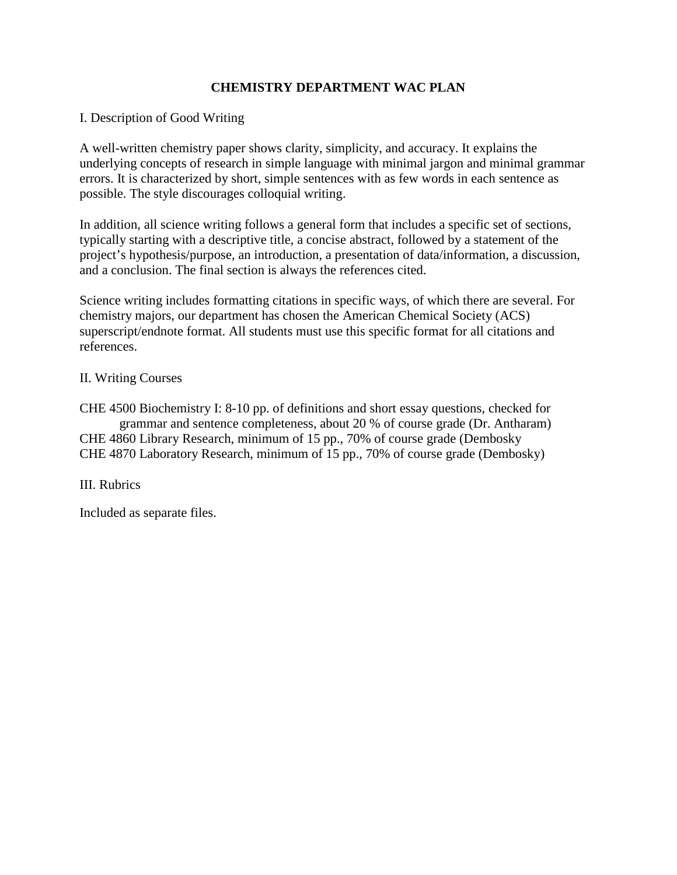# **CHEMISTRY DEPARTMENT WAC PLAN**

# I. Description of Good Writing

A well-written chemistry paper shows clarity, simplicity, and accuracy. It explains the underlying concepts of research in simple language with minimal jargon and minimal grammar errors. It is characterized by short, simple sentences with as few words in each sentence as possible. The style discourages colloquial writing.

In addition, all science writing follows a general form that includes a specific set of sections, typically starting with a descriptive title, a concise abstract, followed by a statement of the project's hypothesis/purpose, an introduction, a presentation of data/information, a discussion, and a conclusion. The final section is always the references cited.

Science writing includes formatting citations in specific ways, of which there are several. For chemistry majors, our department has chosen the American Chemical Society (ACS) superscript/endnote format. All students must use this specific format for all citations and references.

# II. Writing Courses

CHE 4500 Biochemistry I: 8-10 pp. of definitions and short essay questions, checked for grammar and sentence completeness, about 20 % of course grade (Dr. Antharam) CHE 4860 Library Research, minimum of 15 pp., 70% of course grade (Dembosky CHE 4870 Laboratory Research, minimum of 15 pp., 70% of course grade (Dembosky)

III. Rubrics

Included as separate files.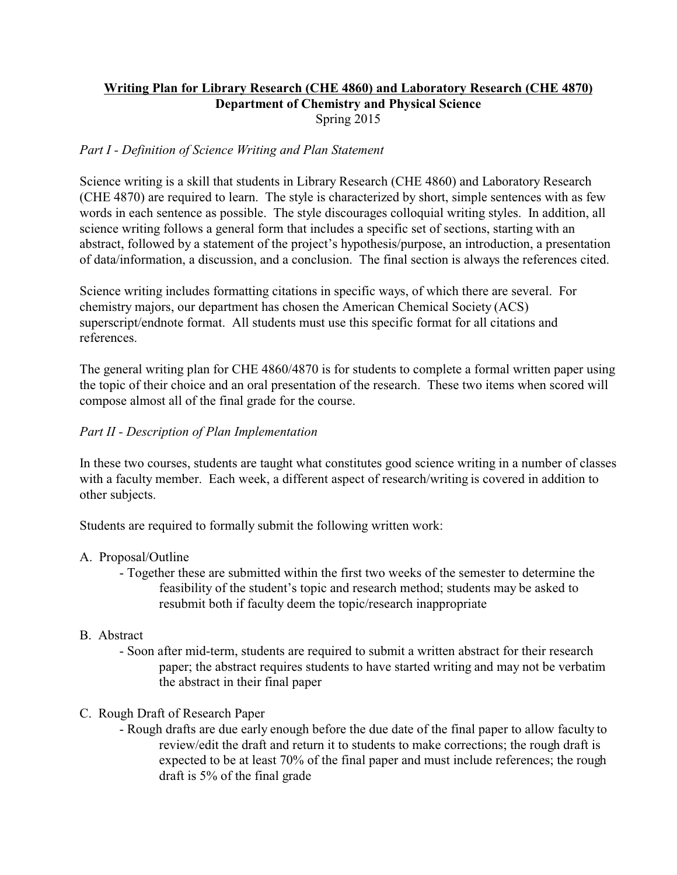# **Writing Plan for Library Research (CHE 4860) and Laboratory Research (CHE 4870) Department of Chemistry and Physical Science** Spring 2015

# *Part I - Definition of Science Writing and Plan Statement*

Science writing is a skill that students in Library Research (CHE 4860) and Laboratory Research (CHE 4870) are required to learn. The style is characterized by short, simple sentences with as few words in each sentence as possible. The style discourages colloquial writing styles. In addition, all science writing follows a general form that includes a specific set of sections, starting with an abstract, followed by a statement of the project's hypothesis/purpose, an introduction, a presentation of data/information, a discussion, and a conclusion. The final section is always the references cited.

Science writing includes formatting citations in specific ways, of which there are several. For chemistry majors, our department has chosen the American Chemical Society (ACS) superscript/endnote format. All students must use this specific format for all citations and references.

The general writing plan for CHE 4860/4870 is for students to complete a formal written paper using the topic of their choice and an oral presentation of the research. These two items when scored will compose almost all of the final grade for the course.

# *Part II - Description of Plan Implementation*

In these two courses, students are taught what constitutes good science writing in a number of classes with a faculty member. Each week, a different aspect of research/writing is covered in addition to other subjects.

Students are required to formally submit the following written work:

# A. Proposal/Outline

- Together these are submitted within the first two weeks of the semester to determine the feasibility of the student's topic and research method; students may be asked to resubmit both if faculty deem the topic/research inappropriate

# B. Abstract

- Soon after mid-term, students are required to submit a written abstract for their research paper; the abstract requires students to have started writing and may not be verbatim the abstract in their final paper

# C. Rough Draft of Research Paper

- Rough drafts are due early enough before the due date of the final paper to allow faculty to review/edit the draft and return it to students to make corrections; the rough draft is expected to be at least 70% of the final paper and must include references; the rough draft is 5% of the final grade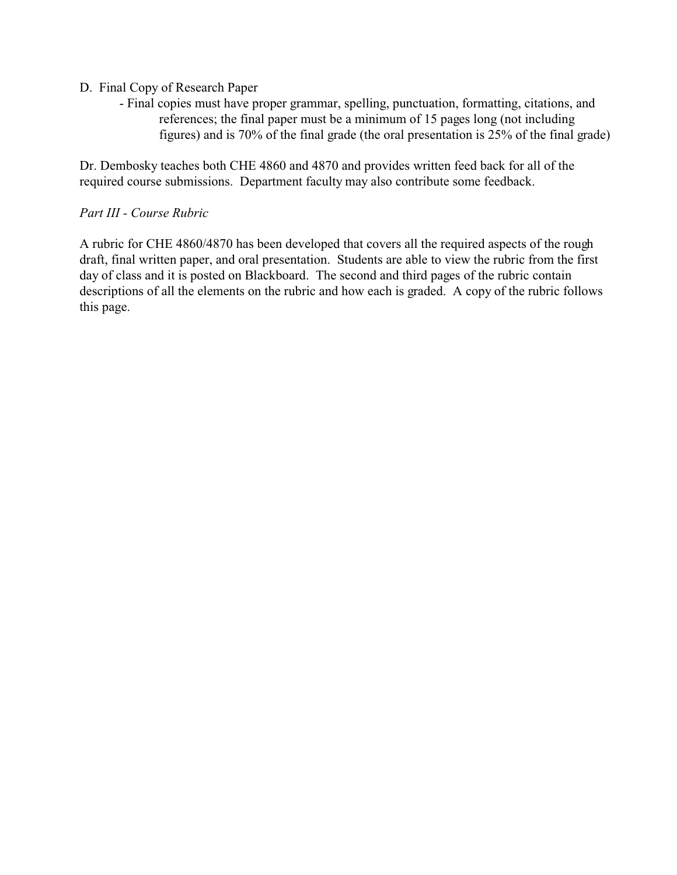- D. Final Copy of Research Paper
	- Final copies must have proper grammar, spelling, punctuation, formatting, citations, and references; the final paper must be a minimum of 15 pages long (not including figures) and is 70% of the final grade (the oral presentation is 25% of the final grade)

Dr. Dembosky teaches both CHE 4860 and 4870 and provides written feed back for all of the required course submissions. Department faculty may also contribute some feedback.

# *Part III - Course Rubric*

A rubric for CHE 4860/4870 has been developed that covers all the required aspects of the rough draft, final written paper, and oral presentation. Students are able to view the rubric from the first day of class and it is posted on Blackboard. The second and third pages of the rubric contain descriptions of all the elements on the rubric and how each is graded. A copy of the rubric follows this page.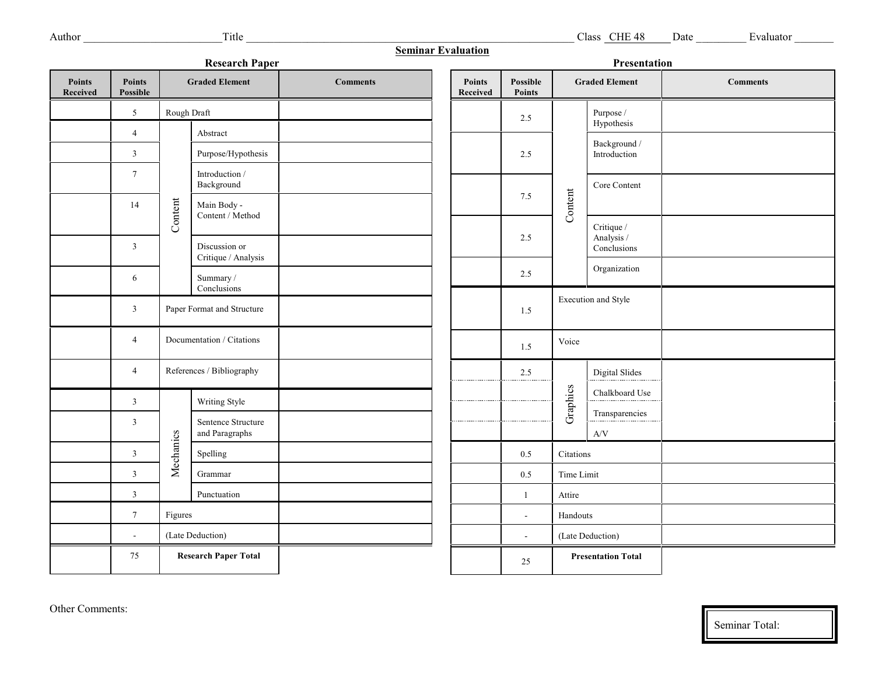| <b>Seminar Evaluation</b><br><b>Research Paper</b><br>Presentation |                           |                                                         |                                   |                 |                                  |                           |                           |                                         |                 |
|--------------------------------------------------------------------|---------------------------|---------------------------------------------------------|-----------------------------------|-----------------|----------------------------------|---------------------------|---------------------------|-----------------------------------------|-----------------|
| Points<br>Received                                                 | <b>Points</b><br>Possible | <b>Graded Element</b>                                   |                                   | <b>Comments</b> | <b>Points</b><br><b>Received</b> | Possible<br><b>Points</b> | <b>Graded Element</b>     |                                         | <b>Comments</b> |
|                                                                    | 5                         | Rough Draft                                             |                                   |                 |                                  | 2.5                       |                           | Purpose /                               |                 |
|                                                                    | $\overline{4}$            | Content                                                 | Abstract                          |                 |                                  | 2.5                       | Content                   | Hypothesis                              |                 |
|                                                                    | $\mathfrak{Z}$            |                                                         | Purpose/Hypothesis                |                 |                                  |                           |                           | Background /<br>Introduction            |                 |
|                                                                    | $\tau$                    |                                                         | Introduction /<br>Background      |                 |                                  |                           |                           | Core Content                            |                 |
|                                                                    | 14                        |                                                         | Main Body -                       |                 |                                  | $7.5$                     |                           |                                         |                 |
|                                                                    | $\mathbf{3}$              |                                                         | Content / Method<br>Discussion or |                 |                                  | 2.5                       |                           | Critique /<br>Analysis /<br>Conclusions |                 |
|                                                                    |                           |                                                         | Critique / Analysis               |                 |                                  | 2.5                       |                           | Organization                            |                 |
|                                                                    | 6                         |                                                         | Summary /<br>Conclusions          |                 |                                  |                           |                           |                                         |                 |
|                                                                    | $\mathfrak{Z}$            | Paper Format and Structure<br>Documentation / Citations |                                   |                 |                                  | 1.5                       |                           | Execution and Style                     |                 |
|                                                                    | $\overline{4}$            |                                                         |                                   |                 |                                  | 1.5                       | Voice                     |                                         |                 |
|                                                                    | $\overline{4}$            |                                                         | References / Bibliography         |                 |                                  | 2.5                       | Graphics                  | Digital Slides                          |                 |
|                                                                    | $\mathfrak{Z}$            | Mechanics                                               | Writing Style                     |                 |                                  |                           |                           | Chalkboard Use                          |                 |
|                                                                    | $\mathfrak{Z}$            |                                                         | Sentence Structure                |                 |                                  |                           |                           | Transparencies                          |                 |
|                                                                    |                           |                                                         | and Paragraphs                    |                 |                                  |                           |                           | $\rm{A/V}$                              |                 |
|                                                                    | $\mathfrak{Z}$            |                                                         | Spelling                          |                 |                                  | 0.5                       | Citations                 |                                         |                 |
|                                                                    | $\mathfrak{Z}$            |                                                         | Grammar                           |                 |                                  | 0.5                       | Time Limit                |                                         |                 |
|                                                                    | $\mathbf{3}$              |                                                         | Punctuation                       |                 |                                  | 1                         | Attire                    |                                         |                 |
|                                                                    | $\tau$                    | Figures                                                 |                                   |                 |                                  | $\overline{\phantom{a}}$  | Handouts                  |                                         |                 |
|                                                                    | $\overline{\phantom{a}}$  | (Late Deduction)                                        |                                   |                 |                                  | $\overline{a}$            | (Late Deduction)          |                                         |                 |
|                                                                    | 75                        | <b>Research Paper Total</b>                             |                                   |                 |                                  | 25                        | <b>Presentation Total</b> |                                         |                 |

Seminar Total: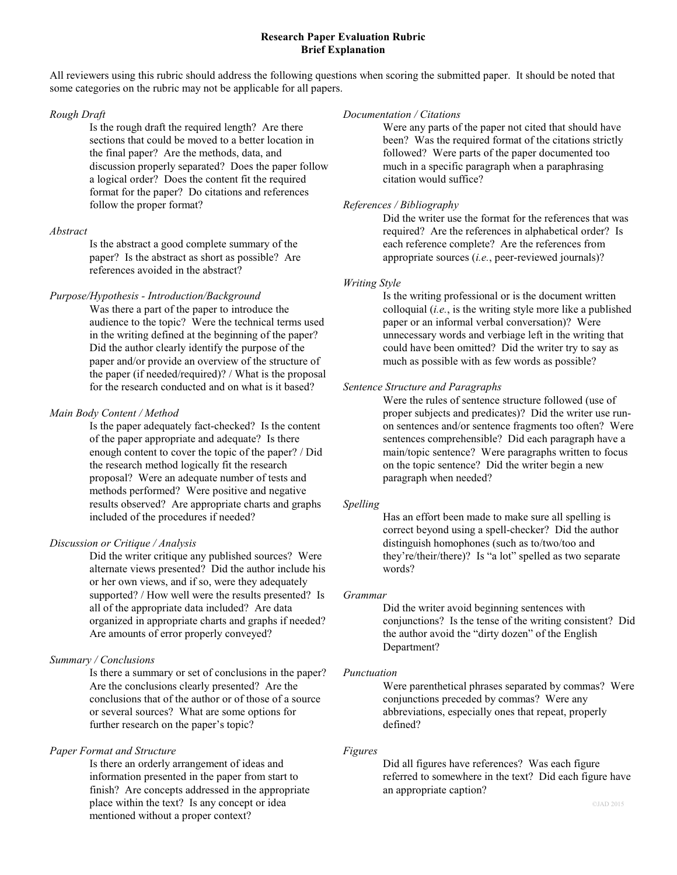### **Research Paper Evaluation Rubric Brief Explanation**

All reviewers using this rubric should address the following questions when scoring the submitted paper. It should be noted that some categories on the rubric may not be applicable for all papers.

### *Rough Draft*

Is the rough draft the required length? Are there sections that could be moved to a better location in the final paper? Are the methods, data, and discussion properly separated? Does the paper follow a logical order? Does the content fit the required format for the paper? Do citations and references follow the proper format?

# *Abstract*

Is the abstract a good complete summary of the paper? Is the abstract as short as possible? Are references avoided in the abstract?

## *Purpose/Hypothesis - Introduction/Background*

Was there a part of the paper to introduce the audience to the topic? Were the technical terms used in the writing defined at the beginning of the paper? Did the author clearly identify the purpose of the paper and/or provide an overview of the structure of the paper (if needed/required)? / What is the proposal for the research conducted and on what is it based?

# *Main Body Content / Method*

Is the paper adequately fact-checked? Is the content of the paper appropriate and adequate? Is there enough content to cover the topic of the paper? / Did the research method logically fit the research proposal? Were an adequate number of tests and methods performed? Were positive and negative results observed? Are appropriate charts and graphs included of the procedures if needed?

# *Discussion or Critique / Analysis*

Did the writer critique any published sources? Were alternate views presented? Did the author include his or her own views, and if so, were they adequately supported? / How well were the results presented? Is all of the appropriate data included? Are data organized in appropriate charts and graphs if needed? Are amounts of error properly conveyed?

# *Summary / Conclusions*

Is there a summary or set of conclusions in the paper? Are the conclusions clearly presented? Are the conclusions that of the author or of those of a source or several sources? What are some options for further research on the paper's topic?

# *Paper Format and Structure*

Is there an orderly arrangement of ideas and information presented in the paper from start to finish? Are concepts addressed in the appropriate place within the text? Is any concept or idea mentioned without a proper context?

### *Documentation / Citations*

Were any parts of the paper not cited that should have been? Was the required format of the citations strictly followed? Were parts of the paper documented too much in a specific paragraph when a paraphrasing citation would suffice?

# *References / Bibliography*

Did the writer use the format for the references that was required? Are the references in alphabetical order? Is each reference complete? Are the references from appropriate sources (*i.e.*, peer-reviewed journals)?

# *Writing Style*

Is the writing professional or is the document written colloquial (*i.e.*, is the writing style more like a published paper or an informal verbal conversation)? Were unnecessary words and verbiage left in the writing that could have been omitted? Did the writer try to say as much as possible with as few words as possible?

## *Sentence Structure and Paragraphs*

Were the rules of sentence structure followed (use of proper subjects and predicates)? Did the writer use runon sentences and/or sentence fragments too often? Were sentences comprehensible? Did each paragraph have a main/topic sentence? Were paragraphs written to focus on the topic sentence? Did the writer begin a new paragraph when needed?

## *Spelling*

Has an effort been made to make sure all spelling is correct beyond using a spell-checker? Did the author distinguish homophones (such as to/two/too and they're/their/there)? Is "a lot" spelled as two separate words?

### *Grammar*

Did the writer avoid beginning sentences with conjunctions? Is the tense of the writing consistent? Did the author avoid the "dirty dozen" of the English Department?

### *Punctuation*

Were parenthetical phrases separated by commas? Were conjunctions preceded by commas? Were any abbreviations, especially ones that repeat, properly defined?

### *Figures*

Did all figures have references? Was each figure referred to somewhere in the text? Did each figure have an appropriate caption?